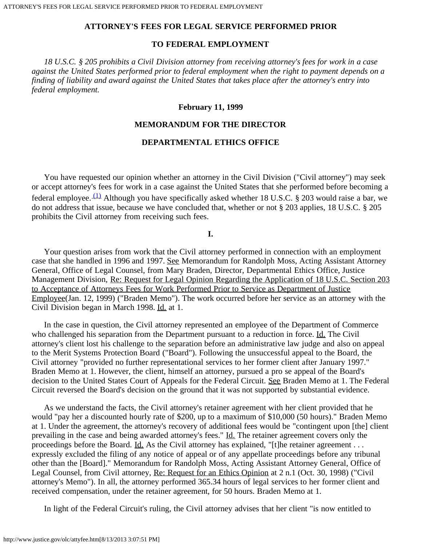# **ATTORNEY'S FEES FOR LEGAL SERVICE PERFORMED PRIOR**

# **TO FEDERAL EMPLOYMENT**

 *18 U.S.C. § 205 prohibits a Civil Division attorney from receiving attorney's fees for work in a case against the United States performed prior to federal employment when the right to payment depends on a finding of liability and award against the United States that takes place after the attorney's entry into federal employment.*

# **February 11, 1999**

# **MEMORANDUM FOR THE DIRECTOR**

# **DEPARTMENTAL ETHICS OFFICE**

 You have requested our opinion whether an attorney in the Civil Division ("Civil attorney") may seek or accept attorney's fees for work in a case against the United States that she performed before becoming a federal employee.  $(1)$  Although you have specifically asked whether 18 U.S.C. § 203 would raise a bar, we do not address that issue, because we have concluded that, whether or not § 203 applies, 18 U.S.C. § 205 prohibits the Civil attorney from receiving such fees.

### **I.**

 Your question arises from work that the Civil attorney performed in connection with an employment case that she handled in 1996 and 1997. See Memorandum for Randolph Moss, Acting Assistant Attorney General, Office of Legal Counsel, from Mary Braden, Director, Departmental Ethics Office, Justice Management Division, Re: Request for Legal Opinion Regarding the Application of 18 U.S.C. Section 203 to Acceptance of Attorneys Fees for Work Performed Prior to Service as Department of Justice Employee(Jan. 12, 1999) ("Braden Memo"). The work occurred before her service as an attorney with the Civil Division began in March 1998. Id. at 1.

 In the case in question, the Civil attorney represented an employee of the Department of Commerce who challenged his separation from the Department pursuant to a reduction in force. Id. The Civil attorney's client lost his challenge to the separation before an administrative law judge and also on appeal to the Merit Systems Protection Board ("Board"). Following the unsuccessful appeal to the Board, the Civil attorney "provided no further representational services to her former client after January 1997." Braden Memo at 1. However, the client, himself an attorney, pursued a pro se appeal of the Board's decision to the United States Court of Appeals for the Federal Circuit. See Braden Memo at 1. The Federal Circuit reversed the Board's decision on the ground that it was not supported by substantial evidence.

 As we understand the facts, the Civil attorney's retainer agreement with her client provided that he would "pay her a discounted hourly rate of \$200, up to a maximum of \$10,000 (50 hours)." Braden Memo at 1. Under the agreement, the attorney's recovery of additional fees would be "contingent upon [the] client prevailing in the case and being awarded attorney's fees." Id. The retainer agreement covers only the proceedings before the Board. Id. As the Civil attorney has explained, "[t]he retainer agreement . . . expressly excluded the filing of any notice of appeal or of any appellate proceedings before any tribunal other than the [Board]." Memorandum for Randolph Moss, Acting Assistant Attorney General, Office of Legal Counsel, from Civil attorney, Re: Request for an Ethics Opinion at 2 n.1 (Oct. 30, 1998) ("Civil attorney's Memo"). In all, the attorney performed 365.34 hours of legal services to her former client and received compensation, under the retainer agreement, for 50 hours. Braden Memo at 1.

In light of the Federal Circuit's ruling, the Civil attorney advises that her client "is now entitled to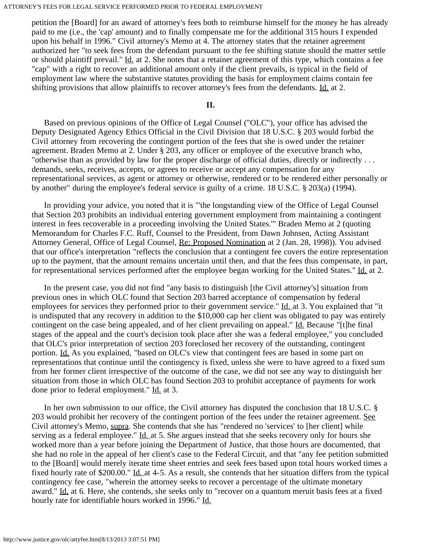petition the [Board] for an award of attorney's fees both to reimburse himself for the money he has already paid to me (i.e., the 'cap' amount) and to finally compensate me for the additional 315 hours I expended upon his behalf in 1996." Civil attorney's Memo at 4. The attorney states that the retainer agreement authorized her "to seek fees from the defendant pursuant to the fee shifting statute should the matter settle or should plaintiff prevail." Id. at 2. She notes that a retainer agreement of this type, which contains a fee "cap" with a right to recover an additional amount only if the client prevails, is typical in the field of employment law where the substantive statutes providing the basis for employment claims contain fee shifting provisions that allow plaintiffs to recover attorney's fees from the defendants. Id. at 2.

#### **II.**

 Based on previous opinions of the Office of Legal Counsel ("OLC"), your office has advised the Deputy Designated Agency Ethics Official in the Civil Division that 18 U.S.C. § 203 would forbid the Civil attorney from recovering the contingent portion of the fees that she is owed under the retainer agreement. Braden Memo at 2. Under § 203, any officer or employee of the executive branch who, "otherwise than as provided by law for the proper discharge of official duties, directly or indirectly . . . demands, seeks, receives, accepts, or agrees to receive or accept any compensation for any representational services, as agent or attorney or otherwise, rendered or to be rendered either personally or by another" during the employee's federal service is guilty of a crime. 18 U.S.C. § 203(a) (1994).

 In providing your advice, you noted that it is "'the longstanding view of the Office of Legal Counsel that Section 203 prohibits an individual entering government employment from maintaining a contingent interest in fees recoverable in a proceeding involving the United States.'" Braden Memo at 2 (quoting Memorandum for Charles F.C. Ruff, Counsel to the President, from Dawn Johnsen, Acting Assistant Attorney General, Office of Legal Counsel, Re: Proposed Nomination at 2 (Jan. 28, 1998)). You advised that our office's interpretation "reflects the conclusion that a contingent fee covers the entire representation up to the payment, that the amount remains uncertain until then, and that the fees thus compensate, in part, for representational services performed after the employee began working for the United States." Id. at 2.

 In the present case, you did not find "any basis to distinguish [the Civil attorney's] situation from previous ones in which OLC found that Section 203 barred acceptance of compensation by federal employees for services they performed prior to their government service." Id. at 3. You explained that "it is undisputed that any recovery in addition to the \$10,000 cap her client was obligated to pay was entirely contingent on the case being appealed, and of her client prevailing on appeal." Id. Because "[t]he final stages of the appeal and the court's decision took place after she was a federal employee," you concluded that OLC's prior interpretation of section 203 foreclosed her recovery of the outstanding, contingent portion. Id. As you explained, "based on OLC's view that contingent fees are based in some part on representations that continue until the contingency is fixed, unless she were to have agreed to a fixed sum from her former client irrespective of the outcome of the case, we did not see any way to distinguish her situation from those in which OLC has found Section 203 to prohibit acceptance of payments for work done prior to federal employment." Id. at 3.

 In her own submission to our office, the Civil attorney has disputed the conclusion that 18 U.S.C. § 203 would prohibit her recovery of the contingent portion of the fees under the retainer agreement. See Civil attorney's Memo, supra. She contends that she has "rendered no 'services' to [her client] while serving as a federal employee." Id. at 5. She argues instead that she seeks recovery only for hours she worked more than a year before joining the Department of Justice, that those hours are documented, that she had no role in the appeal of her client's case to the Federal Circuit, and that "any fee petition submitted to the [Board] would merely iterate time sheet entries and seek fees based upon total hours worked times a fixed hourly rate of \$200.00." Id. at 4-5. As a result, she contends that her situation differs from the typical contingency fee case, "wherein the attorney seeks to recover a percentage of the ultimate monetary award." Id. at 6. Here, she contends, she seeks only to "recover on a quantum meruit basis fees at a fixed hourly rate for identifiable hours worked in 1996." Id.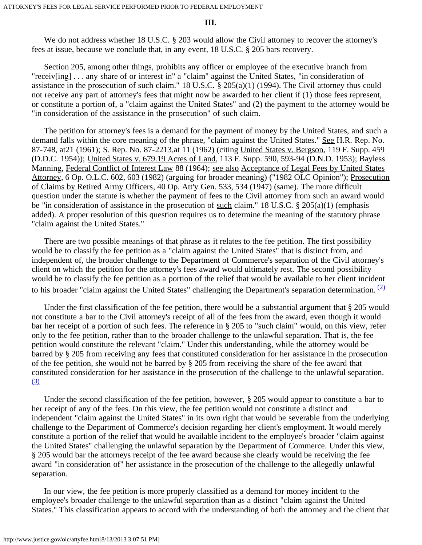### **III.**

We do not address whether 18 U.S.C. § 203 would allow the Civil attorney to recover the attorney's fees at issue, because we conclude that, in any event, 18 U.S.C. § 205 bars recovery.

 Section 205, among other things, prohibits any officer or employee of the executive branch from "receiv[ing] . . . any share of or interest in" a "claim" against the United States, "in consideration of assistance in the prosecution of such claim." 18 U.S.C. § 205(a)(1) (1994). The Civil attorney thus could not receive any part of attorney's fees that might now be awarded to her client if (1) those fees represent, or constitute a portion of, a "claim against the United States" and (2) the payment to the attorney would be "in consideration of the assistance in the prosecution" of such claim.

 The petition for attorney's fees is a demand for the payment of money by the United States, and such a demand falls within the core meaning of the phrase, "claim against the United States." See H.R. Rep. No. 87-748, at 21 (1961); S. Rep. No. 87-2213, at 11 (1962) (citing United States v. Bergson, 119 F. Supp. 459 (D.D.C. 1954)); United States v. 679.19 Acres of Land, 113 F. Supp. 590, 593-94 (D.N.D. 1953); Bayless Manning, Federal Conflict of Interest Law 88 (1964); see also Acceptance of Legal Fees by United States Attorney, 6 Op. O.L.C. 602, 603 (1982) (arguing for broader meaning) ("1982 OLC Opinion"); Prosecution of Claims by Retired Army Officers, 40 Op. Att'y Gen. 533, 534 (1947) (same). The more difficult question under the statute is whether the payment of fees to the Civil attorney from such an award would be "in consideration of assistance in the prosecution of such claim." 18 U.S.C. § 205(a)(1) (emphasis added). A proper resolution of this question requires us to determine the meaning of the statutory phrase "claim against the United States."

 There are two possible meanings of that phrase as it relates to the fee petition. The first possibility would be to classify the fee petition as a "claim against the United States" that is distinct from, and independent of, the broader challenge to the Department of Commerce's separation of the Civil attorney's client on which the petition for the attorney's fees award would ultimately rest. The second possibility would be to classify the fee petition as a portion of the relief that would be available to her client incident to his broader "claim against the United States" challenging the Department's separation determination.  $(2)$ 

 Under the first classification of the fee petition, there would be a substantial argument that § 205 would not constitute a bar to the Civil attorney's receipt of all of the fees from the award, even though it would bar her receipt of a portion of such fees. The reference in § 205 to "such claim" would, on this view, refer only to the fee petition, rather than to the broader challenge to the unlawful separation. That is, the fee petition would constitute the relevant "claim." Under this understanding, while the attorney would be barred by § 205 from receiving any fees that constituted consideration for her assistance in the prosecution of the fee petition, she would not be barred by § 205 from receiving the share of the fee award that constituted consideration for her assistance in the prosecution of the challenge to the unlawful separation. [\(3\)](#page-4-1)

 Under the second classification of the fee petition, however, § 205 would appear to constitute a bar to her receipt of any of the fees. On this view, the fee petition would not constitute a distinct and independent "claim against the United States" in its own right that would be severable from the underlying challenge to the Department of Commerce's decision regarding her client's employment. It would merely constitute a portion of the relief that would be available incident to the employee's broader "claim against the United States" challenging the unlawful separation by the Department of Commerce. Under this view, § 205 would bar the attorneys receipt of the fee award because she clearly would be receiving the fee award "in consideration of" her assistance in the prosecution of the challenge to the allegedly unlawful separation.

 In our view, the fee petition is more properly classified as a demand for money incident to the employee's broader challenge to the unlawful separation than as a distinct "claim against the United States." This classification appears to accord with the understanding of both the attorney and the client that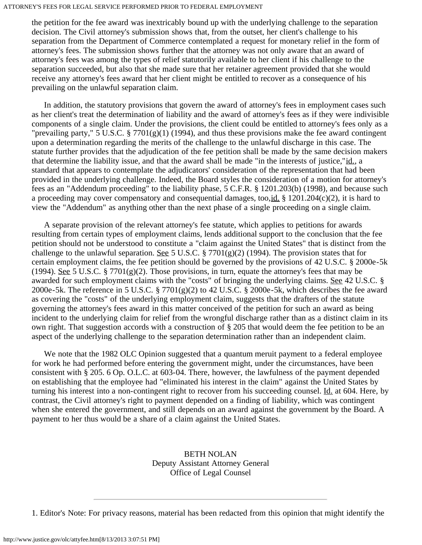#### ATTORNEY'S FEES FOR LEGAL SERVICE PERFORMED PRIOR TO FEDERAL EMPLOYMENT

the petition for the fee award was inextricably bound up with the underlying challenge to the separation decision. The Civil attorney's submission shows that, from the outset, her client's challenge to his separation from the Department of Commerce contemplated a request for monetary relief in the form of attorney's fees. The submission shows further that the attorney was not only aware that an award of attorney's fees was among the types of relief statutorily available to her client if his challenge to the separation succeeded, but also that she made sure that her retainer agreement provided that she would receive any attorney's fees award that her client might be entitled to recover as a consequence of his prevailing on the unlawful separation claim.

 In addition, the statutory provisions that govern the award of attorney's fees in employment cases such as her client's treat the determination of liability and the award of attorney's fees as if they were indivisible components of a single claim. Under the provisions, the client could be entitled to attorney's fees only as a "prevailing party," 5 U.S.C. § 7701(g)(1) (1994), and thus these provisions make the fee award contingent upon a determination regarding the merits of the challenge to the unlawful discharge in this case. The statute further provides that the adjudication of the fee petition shall be made by the same decision makers that determine the liability issue, and that the award shall be made "in the interests of justice,"id., a standard that appears to contemplate the adjudicators' consideration of the representation that had been provided in the underlying challenge. Indeed, the Board styles the consideration of a motion for attorney's fees as an "Addendum proceeding" to the liability phase, 5 C.F.R. § 1201.203(b) (1998), and because such a proceeding may cover compensatory and consequential damages, too,id.  $\S$  1201.204(c)(2), it is hard to view the "Addendum" as anything other than the next phase of a single proceeding on a single claim.

 A separate provision of the relevant attorney's fee statute, which applies to petitions for awards resulting from certain types of employment claims, lends additional support to the conclusion that the fee petition should not be understood to constitute a "claim against the United States" that is distinct from the challenge to the unlawful separation. See 5 U.S.C. § 7701(g)(2) (1994). The provision states that for certain employment claims, the fee petition should be governed by the provisions of 42 U.S.C. § 2000e-5k (1994). See 5 U.S.C. § 7701(g)(2). Those provisions, in turn, equate the attorney's fees that may be awarded for such employment claims with the "costs" of bringing the underlying claims. See 42 U.S.C. § 2000e-5k. The reference in 5 U.S.C. § 7701(g)(2) to 42 U.S.C. § 2000e-5k, which describes the fee award as covering the "costs" of the underlying employment claim, suggests that the drafters of the statute governing the attorney's fees award in this matter conceived of the petition for such an award as being incident to the underlying claim for relief from the wrongful discharge rather than as a distinct claim in its own right. That suggestion accords with a construction of § 205 that would deem the fee petition to be an aspect of the underlying challenge to the separation determination rather than an independent claim.

We note that the 1982 OLC Opinion suggested that a quantum meruit payment to a federal employee for work he had performed before entering the government might, under the circumstances, have been consistent with § 205. 6 Op. O.L.C. at 603-04. There, however, the lawfulness of the payment depended on establishing that the employee had "eliminated his interest in the claim" against the United States by turning his interest into a non-contingent right to recover from his succeeding counsel. Id. at 604. Here, by contrast, the Civil attorney's right to payment depended on a finding of liability, which was contingent when she entered the government, and still depends on an award against the government by the Board. A payment to her thus would be a share of a claim against the United States.

# BETH NOLAN Deputy Assistant Attorney General Office of Legal Counsel

<span id="page-3-0"></span>1. Editor's Note: For privacy reasons, material has been redacted from this opinion that might identify the